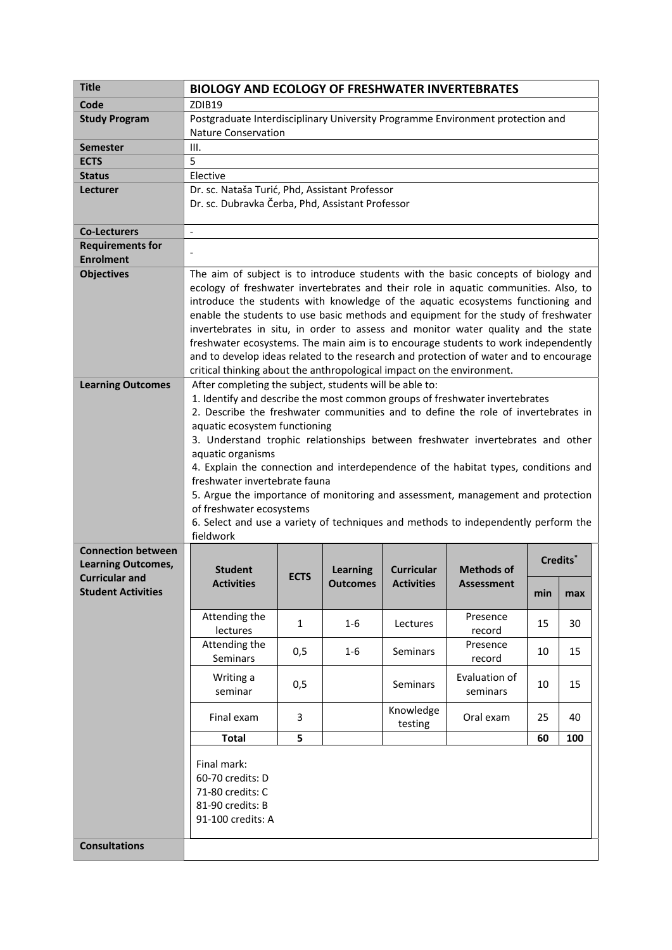| <b>Title</b>                                                                    | <b>BIOLOGY AND ECOLOGY OF FRESHWATER INVERTEBRATES</b>                                                                                                                                                                                                                                                                                                                                                                                                                                                                                                                                                                                                                                                                                                                                                                                                                                                                                                           |              |                      |                                        |                                        |     |     |  |
|---------------------------------------------------------------------------------|------------------------------------------------------------------------------------------------------------------------------------------------------------------------------------------------------------------------------------------------------------------------------------------------------------------------------------------------------------------------------------------------------------------------------------------------------------------------------------------------------------------------------------------------------------------------------------------------------------------------------------------------------------------------------------------------------------------------------------------------------------------------------------------------------------------------------------------------------------------------------------------------------------------------------------------------------------------|--------------|----------------------|----------------------------------------|----------------------------------------|-----|-----|--|
| Code                                                                            | ZDIB19                                                                                                                                                                                                                                                                                                                                                                                                                                                                                                                                                                                                                                                                                                                                                                                                                                                                                                                                                           |              |                      |                                        |                                        |     |     |  |
| <b>Study Program</b>                                                            | Postgraduate Interdisciplinary University Programme Environment protection and                                                                                                                                                                                                                                                                                                                                                                                                                                                                                                                                                                                                                                                                                                                                                                                                                                                                                   |              |                      |                                        |                                        |     |     |  |
|                                                                                 | <b>Nature Conservation</b>                                                                                                                                                                                                                                                                                                                                                                                                                                                                                                                                                                                                                                                                                                                                                                                                                                                                                                                                       |              |                      |                                        |                                        |     |     |  |
| Semester                                                                        | III.                                                                                                                                                                                                                                                                                                                                                                                                                                                                                                                                                                                                                                                                                                                                                                                                                                                                                                                                                             |              |                      |                                        |                                        |     |     |  |
| <b>ECTS</b><br><b>Status</b>                                                    | 5<br>Elective                                                                                                                                                                                                                                                                                                                                                                                                                                                                                                                                                                                                                                                                                                                                                                                                                                                                                                                                                    |              |                      |                                        |                                        |     |     |  |
| Lecturer                                                                        |                                                                                                                                                                                                                                                                                                                                                                                                                                                                                                                                                                                                                                                                                                                                                                                                                                                                                                                                                                  |              |                      |                                        |                                        |     |     |  |
|                                                                                 | Dr. sc. Nataša Turić, Phd, Assistant Professor<br>Dr. sc. Dubravka Čerba, Phd, Assistant Professor                                                                                                                                                                                                                                                                                                                                                                                                                                                                                                                                                                                                                                                                                                                                                                                                                                                               |              |                      |                                        |                                        |     |     |  |
| <b>Co-Lecturers</b>                                                             | $\blacksquare$                                                                                                                                                                                                                                                                                                                                                                                                                                                                                                                                                                                                                                                                                                                                                                                                                                                                                                                                                   |              |                      |                                        |                                        |     |     |  |
| <b>Requirements for</b><br><b>Enrolment</b>                                     |                                                                                                                                                                                                                                                                                                                                                                                                                                                                                                                                                                                                                                                                                                                                                                                                                                                                                                                                                                  |              |                      |                                        |                                        |     |     |  |
| <b>Objectives</b><br><b>Learning Outcomes</b>                                   | The aim of subject is to introduce students with the basic concepts of biology and<br>ecology of freshwater invertebrates and their role in aquatic communities. Also, to<br>introduce the students with knowledge of the aquatic ecosystems functioning and<br>enable the students to use basic methods and equipment for the study of freshwater<br>invertebrates in situ, in order to assess and monitor water quality and the state<br>freshwater ecosystems. The main aim is to encourage students to work independently<br>and to develop ideas related to the research and protection of water and to encourage<br>critical thinking about the anthropological impact on the environment.<br>After completing the subject, students will be able to:<br>1. Identify and describe the most common groups of freshwater invertebrates<br>2. Describe the freshwater communities and to define the role of invertebrates in<br>aquatic ecosystem functioning |              |                      |                                        |                                        |     |     |  |
| <b>Connection between</b>                                                       | 3. Understand trophic relationships between freshwater invertebrates and other<br>aquatic organisms<br>4. Explain the connection and interdependence of the habitat types, conditions and<br>freshwater invertebrate fauna<br>5. Argue the importance of monitoring and assessment, management and protection<br>of freshwater ecosystems<br>6. Select and use a variety of techniques and methods to independently perform the<br>fieldwork<br>Credits <sup>*</sup>                                                                                                                                                                                                                                                                                                                                                                                                                                                                                             |              |                      |                                        |                                        |     |     |  |
| <b>Learning Outcomes,</b><br><b>Curricular and</b><br><b>Student Activities</b> | Student<br><b>Activities</b>                                                                                                                                                                                                                                                                                                                                                                                                                                                                                                                                                                                                                                                                                                                                                                                                                                                                                                                                     | <b>ECTS</b>  | Learning<br>Outcomes | <b>Curricular</b><br><b>Activities</b> | <b>Methods of</b><br><b>Assessment</b> | min | max |  |
|                                                                                 |                                                                                                                                                                                                                                                                                                                                                                                                                                                                                                                                                                                                                                                                                                                                                                                                                                                                                                                                                                  |              |                      |                                        |                                        |     |     |  |
|                                                                                 | Attending the<br>lectures                                                                                                                                                                                                                                                                                                                                                                                                                                                                                                                                                                                                                                                                                                                                                                                                                                                                                                                                        | $\mathbf{1}$ | $1 - 6$              | Lectures                               | Presence<br>record                     | 15  | 30  |  |
|                                                                                 | Attending the<br>Seminars                                                                                                                                                                                                                                                                                                                                                                                                                                                                                                                                                                                                                                                                                                                                                                                                                                                                                                                                        | 0,5          | $1 - 6$              | Seminars                               | Presence<br>record                     | 10  | 15  |  |
|                                                                                 | Writing a<br>seminar                                                                                                                                                                                                                                                                                                                                                                                                                                                                                                                                                                                                                                                                                                                                                                                                                                                                                                                                             | 0,5          |                      | Seminars                               | Evaluation of<br>seminars              | 10  | 15  |  |
|                                                                                 | Final exam                                                                                                                                                                                                                                                                                                                                                                                                                                                                                                                                                                                                                                                                                                                                                                                                                                                                                                                                                       | 3            |                      | Knowledge<br>testing                   | Oral exam                              | 25  | 40  |  |
|                                                                                 | <b>Total</b>                                                                                                                                                                                                                                                                                                                                                                                                                                                                                                                                                                                                                                                                                                                                                                                                                                                                                                                                                     | 5            |                      |                                        |                                        | 60  | 100 |  |
|                                                                                 | Final mark:<br>60-70 credits: D<br>71-80 credits: C<br>81-90 credits: B<br>91-100 credits: A                                                                                                                                                                                                                                                                                                                                                                                                                                                                                                                                                                                                                                                                                                                                                                                                                                                                     |              |                      |                                        |                                        |     |     |  |
| <b>Consultations</b>                                                            |                                                                                                                                                                                                                                                                                                                                                                                                                                                                                                                                                                                                                                                                                                                                                                                                                                                                                                                                                                  |              |                      |                                        |                                        |     |     |  |